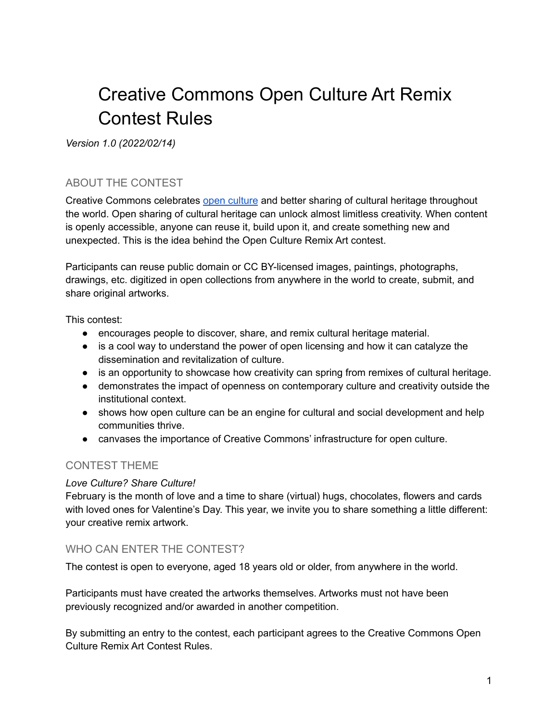# Creative Commons Open Culture Art Remix Contest Rules

*Version 1.0 (2022/02/14)*

### ABOUT THE CONTEST

Creative Commons celebrates open [culture](https://creativecommons.org/about/program-areas/arts-culture/) and better sharing of cultural heritage throughout the world. Open sharing of cultural heritage can unlock almost limitless creativity. When content is openly accessible, anyone can reuse it, build upon it, and create something new and unexpected. This is the idea behind the Open Culture Remix Art contest.

Participants can reuse public domain or CC BY-licensed images, paintings, photographs, drawings, etc. digitized in open collections from anywhere in the world to create, submit, and share original artworks.

This contest:

- encourages people to discover, share, and remix cultural heritage material.
- is a cool way to understand the power of open licensing and how it can catalyze the dissemination and revitalization of culture.
- is an opportunity to showcase how creativity can spring from remixes of cultural heritage.
- demonstrates the impact of openness on contemporary culture and creativity outside the institutional context.
- shows how open culture can be an engine for cultural and social development and help communities thrive.
- canvases the importance of Creative Commons' infrastructure for open culture.

### CONTEST THEME

#### *Love Culture? Share Culture!*

February is the month of love and a time to share (virtual) hugs, chocolates, flowers and cards with loved ones for Valentine's Day. This year, we invite you to share something a little different: your creative remix artwork.

#### WHO CAN ENTER THE CONTEST?

The contest is open to everyone, aged 18 years old or older, from anywhere in the world.

Participants must have created the artworks themselves. Artworks must not have been previously recognized and/or awarded in another competition.

By submitting an entry to the contest, each participant agrees to the Creative Commons Open Culture Remix Art Contest Rules.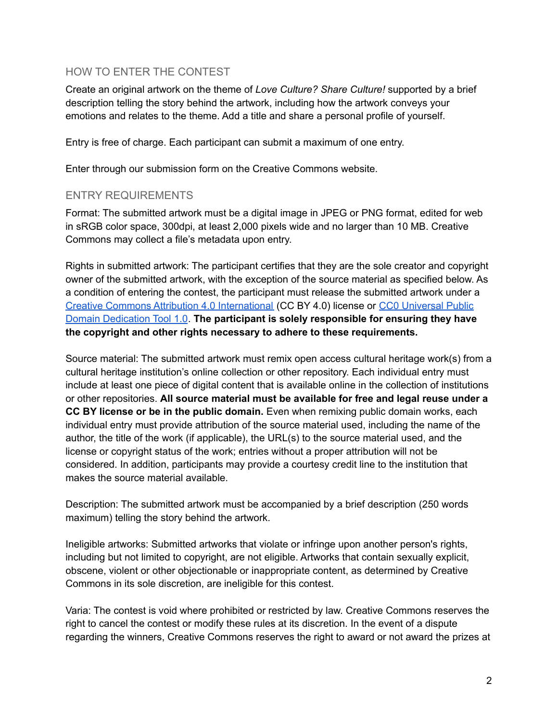#### HOW TO ENTER THE CONTEST

Create an original artwork on the theme of *Love Culture? Share Culture!* supported by a brief description telling the story behind the artwork, including how the artwork conveys your emotions and relates to the theme. Add a title and share a personal profile of yourself.

Entry is free of charge. Each participant can submit a maximum of one entry.

Enter through our submission form on the Creative Commons website.

#### ENTRY REQUIREMENTS

Format: The submitted artwork must be a digital image in JPEG or PNG format, edited for web in sRGB color space, 300dpi, at least 2,000 pixels wide and no larger than 10 MB. Creative Commons may collect a file's metadata upon entry.

Rights in submitted artwork: The participant certifies that they are the sole creator and copyright owner of the submitted artwork, with the exception of the source material as specified below. As a condition of entering the contest, the participant must release the submitted artwork under a Creative Commons Attribution 4.0 [International](https://creativecommons.org/licenses/by/4.0/) (CC BY 4.0) license or CC0 [Universal](https://creativecommons.org/publicdomain/zero/1.0/) Public Domain [Dedication](https://creativecommons.org/publicdomain/zero/1.0/) Tool 1.0. **The participant is solely responsible for ensuring they have the copyright and other rights necessary to adhere to these requirements.**

Source material: The submitted artwork must remix open access cultural heritage work(s) from a cultural heritage institution's online collection or other repository. Each individual entry must include at least one piece of digital content that is available online in the collection of institutions or other repositories. **All source material must be available for free and legal reuse under a CC BY license or be in the public domain.** Even when remixing public domain works, each individual entry must provide attribution of the source material used, including the name of the author, the title of the work (if applicable), the URL(s) to the source material used, and the license or copyright status of the work; entries without a proper attribution will not be considered. In addition, participants may provide a courtesy credit line to the institution that makes the source material available.

Description: The submitted artwork must be accompanied by a brief description (250 words maximum) telling the story behind the artwork.

Ineligible artworks: Submitted artworks that violate or infringe upon another person's rights, including but not limited to copyright, are not eligible. Artworks that contain sexually explicit, obscene, violent or other objectionable or inappropriate content, as determined by Creative Commons in its sole discretion, are ineligible for this contest.

Varia: The contest is void where prohibited or restricted by law. Creative Commons reserves the right to cancel the contest or modify these rules at its discretion. In the event of a dispute regarding the winners, Creative Commons reserves the right to award or not award the prizes at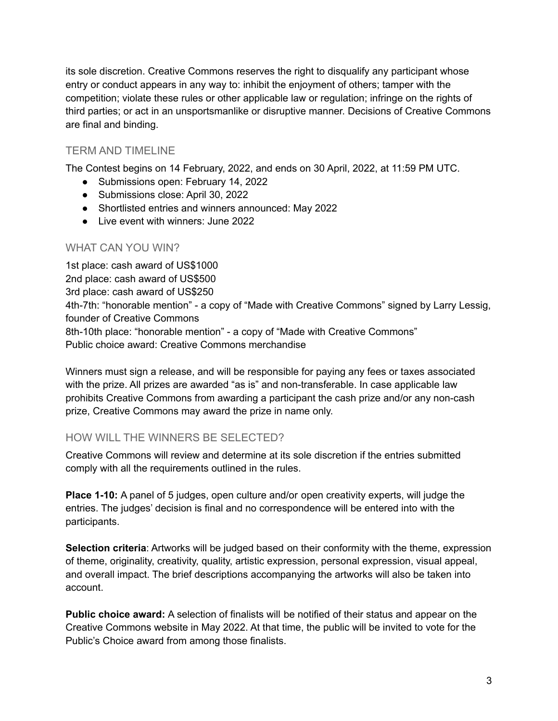its sole discretion. Creative Commons reserves the right to disqualify any participant whose entry or conduct appears in any way to: inhibit the enjoyment of others; tamper with the competition; violate these rules or other applicable law or regulation; infringe on the rights of third parties; or act in an unsportsmanlike or disruptive manner. Decisions of Creative Commons are final and binding.

## TERM AND TIMELINE

The Contest begins on 14 February, 2022, and ends on 30 April, 2022, at 11:59 PM UTC.

- Submissions open: February 14, 2022
- Submissions close: April 30, 2022
- Shortlisted entries and winners announced: May 2022
- Live event with winners: June 2022

## WHAT CAN YOU WIN?

1st place: cash award of US\$1000 2nd place: cash award of US\$500 3rd place: cash award of US\$250 4th-7th: "honorable mention" - a copy of "Made with Creative Commons" signed by Larry Lessig, founder of Creative Commons 8th-10th place: "honorable mention" - a copy of "Made with Creative Commons" Public choice award: Creative Commons merchandise

Winners must sign a release, and will be responsible for paying any fees or taxes associated with the prize. All prizes are awarded "as is" and non-transferable. In case applicable law prohibits Creative Commons from awarding a participant the cash prize and/or any non-cash prize, Creative Commons may award the prize in name only.

## HOW WILL THE WINNERS BE SELECTED?

Creative Commons will review and determine at its sole discretion if the entries submitted comply with all the requirements outlined in the rules.

**Place 1-10:** A panel of 5 judges, open culture and/or open creativity experts, will judge the entries. The judges' decision is final and no correspondence will be entered into with the participants.

**Selection criteria**: Artworks will be judged based on their conformity with the theme, expression of theme, originality, creativity, quality, artistic expression, personal expression, visual appeal, and overall impact. The brief descriptions accompanying the artworks will also be taken into account.

**Public choice award:** A selection of finalists will be notified of their status and appear on the Creative Commons website in May 2022. At that time, the public will be invited to vote for the Public's Choice award from among those finalists.